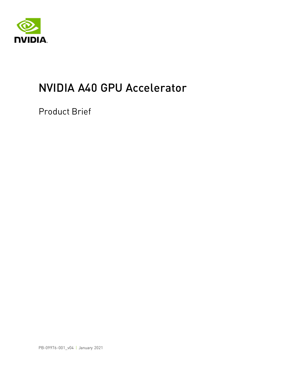

# NVIDIA A40 GPU Accelerator

Product Brief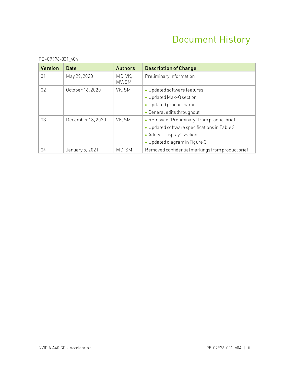### Document History

| <b>Version</b>  | Date              | <b>Authors</b>    | <b>Description of Change</b>                     |  |
|-----------------|-------------------|-------------------|--------------------------------------------------|--|
| 01              | May 29, 2020      | MD, VK,<br>MV, SM | Preliminary Information                          |  |
| 02 <sup>°</sup> | October 16, 2020  | VK, SM            | • Updated software features                      |  |
|                 |                   |                   | • Updated Max-Q section                          |  |
|                 |                   |                   | • Updated product name                           |  |
|                 |                   |                   | • General edits throughout                       |  |
| 03              | December 18, 2020 | VK, SM            | • Removed "Preliminary" from product brief       |  |
|                 |                   |                   | • Updated software specifications in Table 3     |  |
|                 |                   |                   | • Added "Display" section                        |  |
|                 |                   |                   | • Updated diagram in Figure 3                    |  |
| 04              | January 5, 2021   | MD, SM            | Removed confidential markings from product brief |  |

PB-09976-001\_v04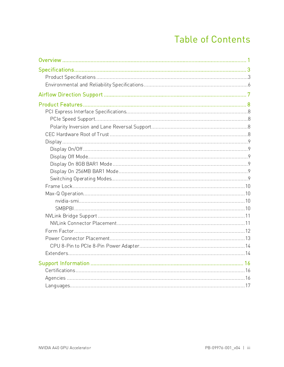### **Table of Contents**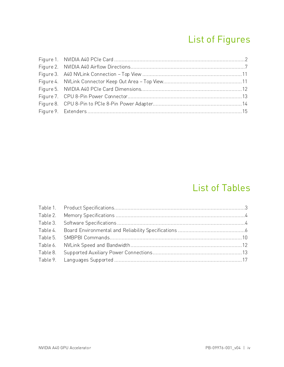# List of Figures

### List of Tables

| Table 3. |  |
|----------|--|
| Table 4. |  |
|          |  |
| Table 6. |  |
| Table 8. |  |
|          |  |
|          |  |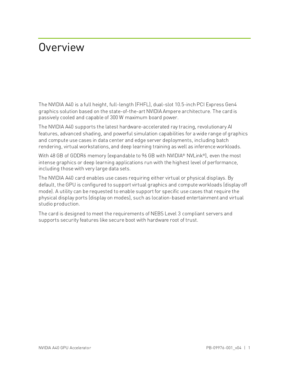# <span id="page-4-0"></span>Overview

The NVIDIA A40 is a full height, full-length (FHFL), dual-slot 10.5-inch PCI Express Gen4 graphics solution based on the state-of-the-art NVIDIA Ampere architecture. The card is passively cooled and capable of 300 W maximum board power.

The NVIDIA A40 supports the latest hardware-accelerated ray tracing, revolutionary AI features, advanced shading, and powerful simulation capabilities for a wide range of graphics and compute use cases in data center and edge server deployments, including batch rendering, virtual workstations, and deep learning training as well as inference workloads.

With 48 GB of GDDR6 memory (expandable to 96 GB with NVIDIA® NVLink®), even the most intense graphics or deep learning applications run with the highest level of performance, including those with very large data sets.

The NVIDIA A40 card enables use cases requiring either virtual or physical displays. By default, the GPU is configured to support virtual graphics and compute workloads (display off mode). A utility can be requested to enable support for specific use cases that require the physical display ports (display on modes), such as location-based entertainment and virtual studio production.

The card is designed to meet the requirements of NEBS Level 3 compliant servers and supports security features like secure boot with hardware root of trust.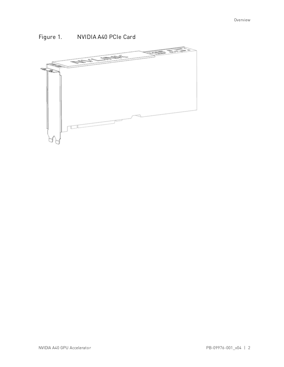

### <span id="page-5-0"></span>Figure 1. NVIDIA A40 PCIe Card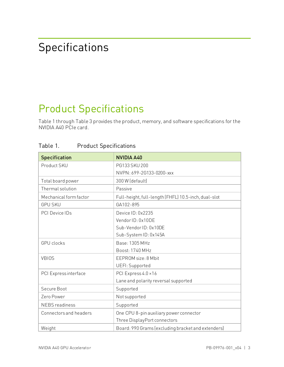# <span id="page-6-0"></span>Specifications

# <span id="page-6-1"></span>Product Specifications

Table 1 throug[h Table 3](#page-7-0) provides the product, memory, and software specifications for the NVIDIA A40 PCIe card.

| <b>Specification</b>   | <b>NVIDIA A40</b>                                    |
|------------------------|------------------------------------------------------|
| Product SKU            | PG133 SKU 200                                        |
|                        | NVPN: 699-2G133-0200-xxx                             |
| Total board power      | 300 W (default)                                      |
| Thermal solution       | Passive                                              |
| Mechanical form factor | Full-height, full-length (FHFL) 10.5-inch, dual-slot |
| <b>GPU SKU</b>         | GA102-895                                            |
| <b>PCI Device IDs</b>  | Device ID: 0x2235                                    |
|                        | Vendor ID: 0x10DE                                    |
|                        | Sub-VendorID: 0x10DE                                 |
|                        | Sub-System ID: 0x145A                                |
| <b>GPU</b> clocks      | Base: 1305 MHz                                       |
|                        | Boost: 1740 MHz                                      |
| <b>VBIOS</b>           | EEPROM size: 8 Mbit                                  |
|                        | UEFI: Supported                                      |
| PCI Express interface  | PCI Express 4.0 × 16                                 |
|                        | Lane and polarity reversal supported                 |
| Secure Boot            | Supported                                            |
| Zero Power             | Not supported                                        |
| <b>NEBS</b> readiness  | Supported                                            |
| Connectors and headers | One CPU 8-pin auxiliary power connector              |
|                        | Three DisplayPort connectors                         |
| Weight                 | Board: 990 Grams (excluding bracket and extenders)   |

<span id="page-6-2"></span>Table 1. Product Specifications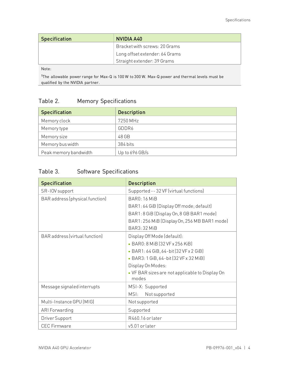| <b>Specification</b> | NVIDIA A40                     |
|----------------------|--------------------------------|
|                      | Bracket with screws: 20 Grams  |
|                      | Long offset extender: 64 Grams |
|                      | Straight extender: 39 Grams    |

Note:

<span id="page-7-1"></span>1 The allowable power range for Max-Q is 100 W to 300 W. Max-Q power and thermal levels must be qualified by the NVIDIA partner.

### Table 2. Memory Specifications

| <b>Specification</b>  | <b>Description</b> |
|-----------------------|--------------------|
| Memory clock          | 7250 MHz           |
| Memory type           | GDDR6              |
| Memory size           | 48 GB              |
| Memory bus width      | 384 bits           |
| Peak memory bandwidth | Up to $696$ GB/s   |

### <span id="page-7-0"></span>Table 3. Software Specifications

| <b>Specification</b>            | <b>Description</b>                                       |
|---------------------------------|----------------------------------------------------------|
| SR-IOV support                  | Supported -- 32 VF (virtual functions)                   |
| BAR address (physical function) | <b>BAR0: 16 MiB</b>                                      |
|                                 | BAR1: 64 GiB (Display Off mode; default)                 |
|                                 | BAR1: 8 GiB (Display On, 8 GB BAR1 mode)                 |
|                                 | BAR1: 256 MiB (Display On, 256 MB BAR1 mode)             |
|                                 | BAR3: 32 MiB                                             |
| BAR address (virtual function)  | Display Off Mode (default):                              |
|                                 | • BAR0: 8 MiB (32 VF x 256 KiB)                          |
|                                 | • BAR1: 64 GiB, 64-bit (32 VF x 2 GiB)                   |
|                                 | • BAR3: 1 GiB, 64-bit (32 VF x 32 MiB)                   |
|                                 | Display On Modes:                                        |
|                                 | • VF BAR sizes are not applicable to Display On<br>modes |
| Message signaled interrupts     | MSI-X: Supported                                         |
|                                 | MSI:<br>Not supported                                    |
| Multi-Instance GPU (MIG)        | Not supported                                            |
| ARI Forwarding                  | Supported                                                |
| Driver Support                  | R460.16 or later                                         |
| <b>CEC</b> Firmware             | v5.01 orlater                                            |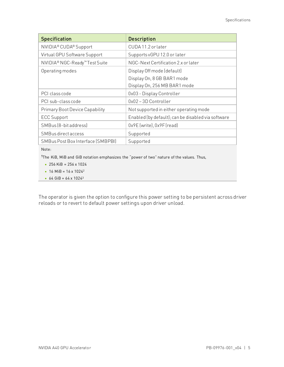| <b>Specification</b>              | <b>Description</b>                                 |
|-----------------------------------|----------------------------------------------------|
| NVIDIA® CUDA® Support             | CUDA 11.2 or later                                 |
| Virtual GPU Software Support      | Supports vGPU 12.0 or later                        |
| NVIDIA® NGC-Ready™ Test Suite     | NGC-Next Certification 2.x or later                |
| Operating modes                   | Display Off mode (default)                         |
|                                   | Display On, 8 GB BAR1 mode                         |
|                                   | Display On, 256 MB BAR1 mode                       |
| PCI class code                    | 0x03 - Display Controller                          |
| PCI sub-class code                | 0x02-3D Controller                                 |
| Primary Boot Device Capability    | Not supported in either operating mode             |
| <b>ECC Support</b>                | Enabled (by default); can be disabled via software |
| SMBus (8-bit address)             | 0x9E (write), 0x9F (read)                          |
| SMBus direct access               | Supported                                          |
| SMBus Post Box Interface (SMBPBI) | Supported                                          |

Note:

1The KiB, MiB and GiB notation emphasizes the "power of two" nature of the values. Thus,

- 256 KiB =  $256 \times 1024$
- 16 MiB =  $16 \times 1024^2$
- $64$  GiB =  $64 \times 1024^3$

The operator is given the option to configure this power setting to be persistent across driver reloads or to revert to default power settings upon driver unload.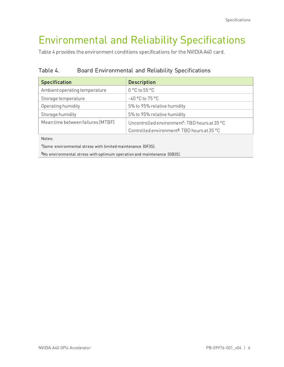# <span id="page-9-0"></span>Environmental and Reliability Specifications

<span id="page-9-1"></span>[Table 4](#page-9-1) provides the environment conditions specifications for the NVIDIA A40 card.

Table 4. Board Environmental and Reliability Specifications

| <b>Specification</b>              | <b>Description</b>                                         |  |
|-----------------------------------|------------------------------------------------------------|--|
| Ambient operating temperature     | $0 °C$ to $55 °C$                                          |  |
| Storage temperature               | $-40$ °C to $75$ °C                                        |  |
| Operating humidity                | 5% to 95% relative humidity                                |  |
| Storage humidity                  | 5% to 95% relative humidity                                |  |
| Mean time between failures (MTBF) | Uncontrolled environment <sup>1</sup> : TBD hours at 35 °C |  |
|                                   | Controlled environment <sup>2</sup> : TBD hours at 35 °C   |  |

Notes:

1 Some environmental stress with limited maintenance (GF35).

2 No environmental stress with optimum operation and maintenance (GB35).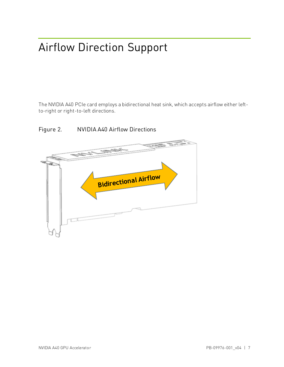# <span id="page-10-0"></span>Airflow Direction Support

The NVIDIA A40 PCIe card employs a bidirectional heat sink, which accepts airflow either leftto-right or right-to-left directions.



#### <span id="page-10-1"></span>Figure 2. NVIDIA A40 Airflow Directions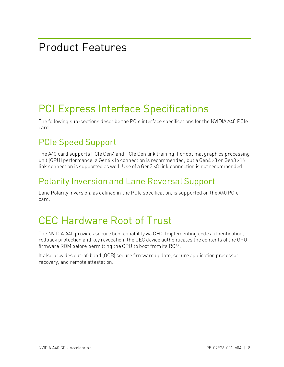# <span id="page-11-0"></span>Product Features

# <span id="page-11-1"></span>PCI Express Interface Specifications

The following sub-sections describe the PCIe interface specifications for the NVIDIA A40 PCIe card.

### <span id="page-11-2"></span>PCIe Speed Support

The A40 card supports PCIe Gen4 and PCIe Gen link training. For optimal graphics processing unit (GPU) performance, a Gen4 ×16 connection is recommended, but a Gen4 ×8 or Gen3 ×16 link connection is supported as well. Use of a Gen3 ×8 link connection is not recommended.

### <span id="page-11-3"></span>Polarity Inversion and Lane Reversal Support

Lane Polarity Inversion, as defined in the PCIe specification, is supported on the A40 PCIe card.

# <span id="page-11-4"></span>CEC Hardware Root of Trust

The NVIDIA A40 provides secure boot capability via CEC. Implementing code authentication, rollback protection and key revocation, the CEC device authenticates the contents of the GPU firmware ROM before permitting the GPU to boot from its ROM.

It also provides out-of-band (OOB) secure firmware update, secure application processor recovery, and remote attestation.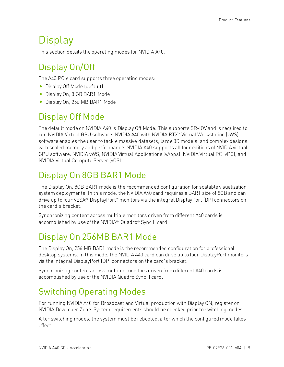# <span id="page-12-0"></span>**Display**

This section details the operating modes for NVIDIA A40.

### <span id="page-12-1"></span>Display On/Off

The A40 PCIe card supports three operating modes:

- ▶ Display Off Mode (default)
- Display On, 8 GB BAR1 Mode
- Display On, 256 MB BAR1 Mode

### <span id="page-12-2"></span>Display Off Mode

The default mode on NVIDIA A40 is Display Off Mode. This supports SR-IOV and is required to run NVIDIA Virtual GPU software. NVIDIA A40 with NVIDIA RTX™ Virtual Workstation (vWS) software enables the user to tackle massive datasets, large 3D models, and complex designs with scaled memory and performance. NVIDIA A40 supports all four editions of NVIDIA virtual GPU software: NVIDIA vWS, NVIDIA Virtual Applications (vApps), NVIDIA Virtual PC (vPC), and NVIDIA Virtual Compute Server (vCS).

### <span id="page-12-3"></span>Display On 8GB BAR1 Mode

The Display On, 8GB BAR1 mode is the recommended configuration for scalable visualization system deployments. In this mode, the NVIDIA A40 card requires a BAR1 size of 8GB and can drive up to four VESA® DisplayPort™ monitors via the integral DisplayPort (DP) connectors on the card's bracket.

Synchronizing content across multiple monitors driven from different A40 cards is accomplished by use of the NVIDIA® Quadro® Sync II card.

### <span id="page-12-4"></span>Display On 256MB BAR1 Mode

The Display On, 256 MB BAR1 mode is the recommended configuration for professional desktop systems. In this mode, the NVIDIA A40 card can drive up to four DisplayPort monitors via the integral DisplayPort (DP) connectors on the card's bracket.

Synchronizing content across multiple monitors driven from different A40 cards is accomplished by use of the NVIDIA Quadro Sync II card.

### <span id="page-12-5"></span>Switching Operating Modes

For running NVIDIA A40 for Broadcast and Virtual production with Display ON, register on NVIDIA Developer Zone. System requirements should be checked prior to switching modes.

After switching modes, the system must be rebooted, after which the configured mode takes effect.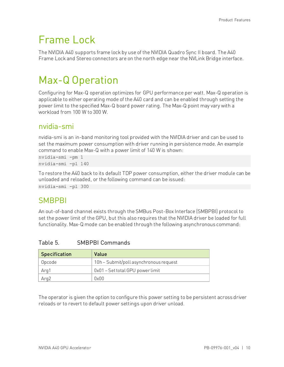## <span id="page-13-0"></span>Frame Lock

The NVIDIA A40 supports frame lock by use of the NVIDIA Quadro Sync II board. The A40 Frame Lock and Stereo connectors are on the north edge near the NVLink Bridge interface.

# <span id="page-13-1"></span>Max-Q Operation

Configuring for Max-Q operation optimizes for GPU performance per watt. Max-Q operation is applicable to either operating mode of the A40 card and can be enabled through setting the power limit to the specified Max-Q board power rating. The Max-Q point may vary with a workload from 100 W to 300 W.

### <span id="page-13-2"></span>nvidia-smi

nvidia-smi is an in-band monitoring tool provided with the NVIDIA driver and can be used to set the maximum power consumption with driver running in persistence mode. An example command to enable Max-Q with a power limit of 140 W is shown:

nvidia-smi -pm 1 nvidia-smi -pl 140

To restore the A40 back to its default TDP power consumption, either the driver module can be unloaded and reloaded, or the following command can be issued: nvidia-smi -pl 300

### <span id="page-13-3"></span>**SMBPBI**

An out-of-band channel exists through the SMBus Post-Box Interface (SMBPBI) protocol to set the power limit of the GPU, but this also requires that the NVIDIA driver be loaded for full functionality. Max-Q mode can be enabled through the following asynchronous command:

| <b>Specification</b> | Value                                  |
|----------------------|----------------------------------------|
| Opcode               | 10h - Submit/poll asynchronous request |
| Arg1                 | 0x01 - Set total GPU power limit       |
| Arg2                 | nxnn                                   |

#### <span id="page-13-4"></span>Table 5. SMBPBI Commands

The operator is given the option to configure this power setting to be persistent across driver reloads or to revert to default power settings upon driver unload.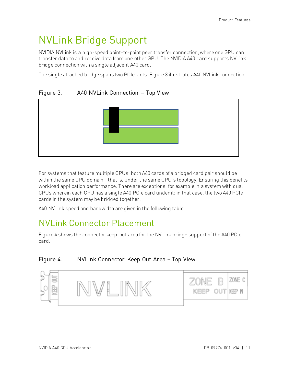## <span id="page-14-1"></span>NVLink Bridge Support

NVIDIA NVLink is a high-speed point-to-point peer transfer connection, where one GPU can transfer data to and receive data from one other GPU. The NVIDIA A40 card supports NVLink bridge connection with a single adjacent A40 card.

<span id="page-14-0"></span>The single attached bridge spans two PCIe slots[. Figure 3](#page-14-0) illustrates A40 NVLink connection.

#### Figure 3. A40 NVLink Connection – Top View



For systems that feature multiple CPUs, both A40 cards of a bridged card pair should be within the same CPU domain—that is, under the same CPU's topology. Ensuring this benefits workload application performance. There are exceptions, for example in a system with dual CPUs wherein each CPU has a single A40 PCIe card under it; in that case, the two A40 PCIe cards in the system may be bridged together.

A40 NVLink speed and bandwidth are given in the following table.

### <span id="page-14-2"></span>NVLink Connector Placement

[Figure 4](#page-14-3) shows the connector keep-out area for the NVLink bridge support of the A40 PCIe card.

#### <span id="page-14-3"></span>Figure 4. NVLink Connector Keep Out Area – Top View

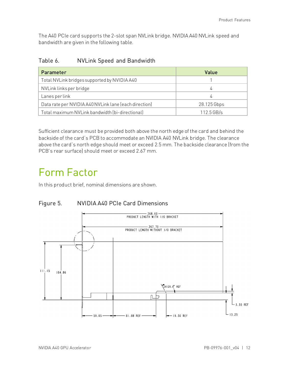The A40 PCIe card supports the 2-slot span NVLink bridge. NVIDIA A40 NVLink speed and bandwidth are given in the following table.

<span id="page-15-2"></span>Table 6. NVLink Speed and Bandwidth

| Parameter                                             | Value        |
|-------------------------------------------------------|--------------|
| Total NVLink bridges supported by NVIDIA A40          |              |
| NVLink links per bridge                               | 4            |
| Lanes per link                                        |              |
| Data rate per NVIDIA A40 NVLink lane (each direction) | 28.125 Gbps  |
| Total maximum NVLink bandwidth (bi-directional)       | $112.5$ GB/s |

Sufficient clearance must be provided both above the north edge of the card and behind the backside of the card's PCB to accommodate an NVIDIA A40 NVLink bridge. The clearance above the card's north edge should meet or exceed 2.5 mm. The backside clearance (from the PCB's rear surface) should meet or exceed 2.67 mm.

### <span id="page-15-0"></span>Form Factor

<span id="page-15-1"></span>In this product brief, nominal dimensions are shown.



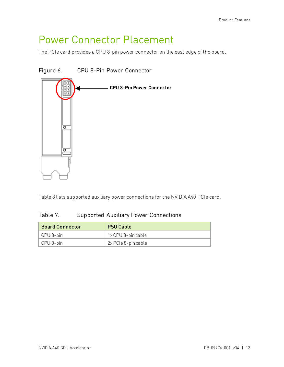### <span id="page-16-0"></span>Power Connector Placement

<span id="page-16-1"></span>The PCIe card provides a CPU 8-pin power connector on the east edge of the board.

#### Figure 6. CPU 8-Pin Power Connector



<span id="page-16-2"></span>[Table 8](#page-16-2) lists supported auxiliary power connections for the NVIDIA A40 PCIe card.

#### Table 7. Supported Auxiliary Power Connections

| <b>Board Connector</b> | <b>PSU Cable</b>    |
|------------------------|---------------------|
| CPU 8-pin              | 1x CPU 8-pin cable  |
| CPU 8-pin              | 2x PCIe 8-pin cable |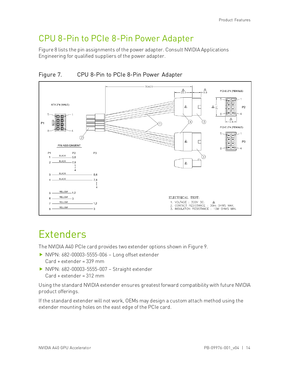### <span id="page-17-0"></span>CPU 8-Pin to PCIe 8-Pin Power Adapter

[Figure 8](#page-17-2) lists the pin assignments of the power adapter. Consult NVIDIA Applications Engineering for qualified suppliers of the power adapter.

<span id="page-17-2"></span>



### <span id="page-17-1"></span>Extenders

The NVIDIA A40 PCIe card provides two extender options shown i[n Figure 9.](#page-18-0)

- ▶ NVPN: 682-00003-5555-006 Long offset extender Card + extender = 339 mm
- ▶ NVPN: 682-00003-5555-007 Straight extender Card + extender = 312 mm

Using the standard NVIDIA extender ensures greatest forward compatibility with future NVIDIA product offerings.

If the standard extender will not work, OEMs may design a custom attach method using the extender mounting holes on the east edge of the PCIe card.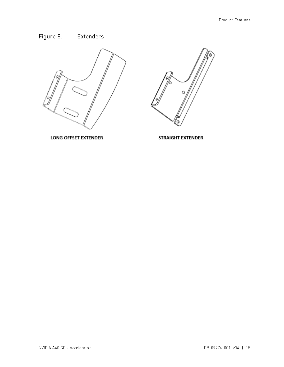### <span id="page-18-0"></span>Figure 8. Extenders



**LONG OFFSET EXTENDER** 



STRAIGHT EXTENDER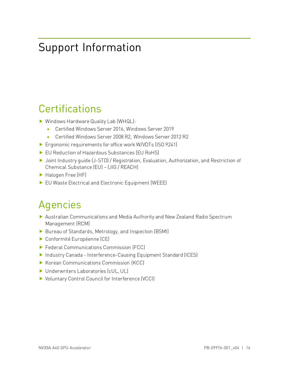# <span id="page-19-0"></span>Support Information

### <span id="page-19-1"></span>**Certifications**

- ▶ Windows Hardware Quality Lab (WHQL):
	- Certified Windows Server 2016, Windows Server 2019
	- Certified Windows Server 2008 R2, Windows Server 2012 R2
- ▶ Ergonomic requirements for office work W/VDTs (ISO 9241)
- ▶ EU Reduction of Hazardous Substances (EU RoHS)
- ▶ Joint Industry quide (J-STD) / Registration, Evaluation, Authorization, and Restriction of Chemical Substance (EU) – (JIG / REACH)
- Halogen Free (HF)
- <span id="page-19-2"></span>EU Waste Electrical and Electronic Equipment (WEEE)

# Agencies

- Australian Communications and Media Authority and New Zealand Radio Spectrum Management (RCM)
- Bureau of Standards, Metrology, and Inspection (BSMI)
- Conformité Européenne (CE)
- ▶ Federal Communications Commission (FCC)
- ▶ Industry Canada Interference-Causing Equipment Standard (ICES)
- Korean Communications Commission (KCC)
- ▶ Underwriters Laboratories (cUL, UL)
- ▶ Voluntary Control Council for Interference (VCCI)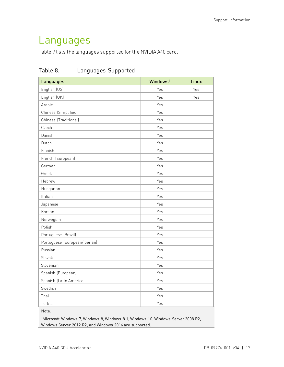## <span id="page-20-0"></span>Languages

<span id="page-20-1"></span>[Table 9](#page-20-1) lists the languages supported for the NVIDIA A40 card.

| Languages                     | Windows <sup>1</sup> | <b>Linux</b> |
|-------------------------------|----------------------|--------------|
| English (US)                  | Yes                  | Yes          |
| English (UK)                  | Yes                  | Yes          |
| Arabic                        | Yes                  |              |
| Chinese (Simplified)          | Yes                  |              |
| Chinese (Traditional)         | Yes                  |              |
| Czech                         | Yes                  |              |
| Danish                        | Yes                  |              |
| Dutch                         | Yes                  |              |
| Finnish                       | Yes                  |              |
| French (European)             | Yes                  |              |
| German                        | Yes                  |              |
| Greek                         | Yes                  |              |
| Hebrew                        | Yes                  |              |
| Hungarian                     | Yes                  |              |
| Italian                       | Yes                  |              |
| Japanese                      | Yes                  |              |
| Korean                        | Yes                  |              |
| Norwegian                     | Yes                  |              |
| Polish                        | Yes                  |              |
| Portuguese (Brazil)           | Yes                  |              |
| Portuguese (European/Iberian) | Yes                  |              |
| Russian                       | Yes                  |              |
| Slovak                        | Yes                  |              |
| Slovenian                     | Yes                  |              |
| Spanish (European)            | Yes                  |              |
| Spanish (Latin America)       | Yes                  |              |
| Swedish                       | Yes                  |              |
| Thai                          | Yes                  |              |
| Turkish                       | Yes                  |              |

### Table 8. Languages Supported

Note:

1 Microsoft Windows 7, Windows 8, Windows 8.1, Windows 10, Windows Server 2008 R2, Windows Server 2012 R2, and Windows 2016 are supported.